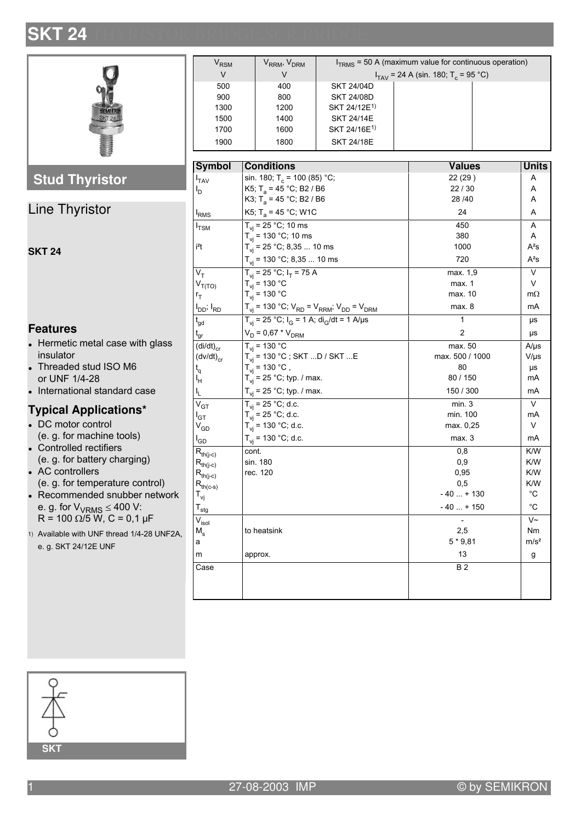# **SKT 24**



**Stud Thyristor** 

# **Line Thyristor SKT 24**

### **Features**

- Hermetic metal case with glass insulator
- Threaded stud ISO M6 or UNF 1/4-28
- International standard case

#### **Typical Applications\***

- DC motor control (e. g. for machine tools)
- Controlled rectifiers (e. g. for battery charging)
- AC controllers (e. g. for temperature control)
- Recommended snubber network e. g. for  $V_{VRMS} \leq 400 V$ :  $R = 100 \Omega/5 \text{ W}, C = 0.1 \mu \text{F}$
- 1) Available with UNF thread 1/4-28 UNF2A, e. g. SKT 24/12E UNF

| $\rm V_{\rm RSM}$ | V <sub>RRM</sub> , V <sub>DRM</sub> | $ITRMS$ = 50 A (maximum value for continuous operation) |  |  |
|-------------------|-------------------------------------|---------------------------------------------------------|--|--|
| V                 | V                                   | $I_{TAV}$ = 24 A (sin. 180; T <sub>c</sub> = 95 °C)     |  |  |
| 500               | 400                                 | <b>SKT 24/04D</b>                                       |  |  |
| 900               | 800                                 | <b>SKT 24/08D</b>                                       |  |  |
| 1300              | 1200                                | SKT 24/12E <sup>1)</sup>                                |  |  |
| 1500              | 1400                                | <b>SKT 24/14E</b>                                       |  |  |
| 1700              | 1600                                | SKT 24/16E <sup>1)</sup>                                |  |  |
| 1900              | 1800                                | <b>SKT 24/18E</b>                                       |  |  |

| <b>Symbol</b>                                            | <b>Conditions</b>                                                                      | <b>Values</b>   | <b>Units</b>      |
|----------------------------------------------------------|----------------------------------------------------------------------------------------|-----------------|-------------------|
| $I_{TAV}$                                                | sin. 180; T <sub>c</sub> = 100 (85) °C;                                                | 22 (29)         | Α                 |
| $I_{\text{D}}$                                           | K5; T <sub>a</sub> = 45 °C; B2 / B6                                                    | 22/30           | A                 |
|                                                          | K3; $T_a = 45 °C$ ; B2 / B6                                                            | 28 / 40         | A                 |
| I <sub>RMS</sub>                                         | K5; $T_a = 45 °C$ ; W1C                                                                | 24              | A                 |
| $I_{TSM}$                                                | $T_{vi}$ = 25 °C; 10 ms                                                                | 450             | A                 |
|                                                          | $T_{vi}$ = 130 °C; 10 ms                                                               | 380             | A                 |
| i <sup>2</sup> t                                         | $T_{vi}$ = 25 °C; 8,35  10 ms                                                          | 1000            | $A^2S$            |
|                                                          | $T_{vi}$ = 130 °C; 8,35  10 ms                                                         | 720             | $A^2S$            |
| $V_T$                                                    | $T_{vi}$ = 25 °C; $I_T$ = 75 A                                                         | max. $1,9$      | V                 |
| $V_{T(TO)}$                                              | $T_{vi}$ = 130 °C                                                                      | max. 1          | V                 |
| $r_T$                                                    | $T_{vi}$ = 130 °C                                                                      | max. 10         | $m\Omega$         |
| $I_{DD}$ ; $I_{RD}$                                      | $T_{\rm{vj}}$ = 130 °C; $V_{\rm RD}$ = $V_{\rm{RRM}}$ ; $V_{\rm{DD}}$ = $V_{\rm{DRM}}$ | max. 8          | mA                |
| $t_{gd}$                                                 | $T_{vi}$ = 25 °C; $I_G$ = 1 A; di <sub>G</sub> /dt = 1 A/µs                            | $\mathbf{1}$    | μs                |
| $t_{gr}$                                                 | $V_D = 0.67 * V_{DRM}$                                                                 | $\overline{2}$  | $\mu\text{s}$     |
| $\overline{\text{(di/dt)}}_{\text{cr}}$                  | $T_{\text{vi}}$ = 130 °C                                                               | max. 50         | $A/\mu s$         |
| $(dv/dt)_{cr}$                                           | $T_{vi}$ = 130 °C ; SKT D / SKT E                                                      | max. 500 / 1000 | $V/\mu s$         |
| $t_{q}$                                                  | $T_{vi}$ = 130 °C,                                                                     | 80              | $\mu\text{s}$     |
| Iн                                                       | $T_{vi}$ = 25 °C; typ. / max.                                                          | 80 / 150        | mA                |
| IL.                                                      | $T_{vi}$ = 25 °C; typ. / max.                                                          | 150 / 300       | mA                |
| $\rm V_{GT}$                                             | $T_{vi}$ = 25 °C; d.c.                                                                 | min.3           | V                 |
| $I_{GT}$                                                 | $T_{vi} = 25 °C$ ; d.c.                                                                | min. 100        | mA                |
| V <sub>GD</sub>                                          | $T_{vi}$ = 130 °C; d.c.                                                                | max. 0,25       | V                 |
| $I_{\mathsf{GD}}$                                        | $T_{vi}$ = 130 °C; d.c.                                                                | max. 3          | mA                |
| $\mathsf{R}_{\mathsf{th}(\mathsf{j}\text{-}\mathsf{c})}$ | cont.                                                                                  | 0,8             | K/W               |
| $R_{th(j-c)}$                                            | sin. 180                                                                               | 0,9             | K/W               |
| $R_{th(j-c)}$                                            | rec. 120                                                                               | 0,95            | K/W               |
| $R_{th(c-s)}$                                            |                                                                                        | 0,5             | K/W               |
| $\mathsf{T}_{\mathsf{vj}}$                               |                                                                                        | $-40 + 130$     | $^{\circ}$ C      |
| $\mathsf{T}_{\text{stg}}$                                |                                                                                        | $-40+150$       | $^{\circ}$ C      |
| $V_{\sf isol}$                                           |                                                                                        | $\frac{1}{2}$   | $\overline{\vee}$ |
| $M_{\rm s}$                                              | to heatsink                                                                            | 2,5             | Nm                |
| a                                                        |                                                                                        | $5 * 9,81$      | m/s <sup>2</sup>  |
| m                                                        | approx.                                                                                | 13              | g                 |
| Case                                                     |                                                                                        | <b>B2</b>       |                   |
|                                                          |                                                                                        |                 |                   |
|                                                          |                                                                                        |                 |                   |

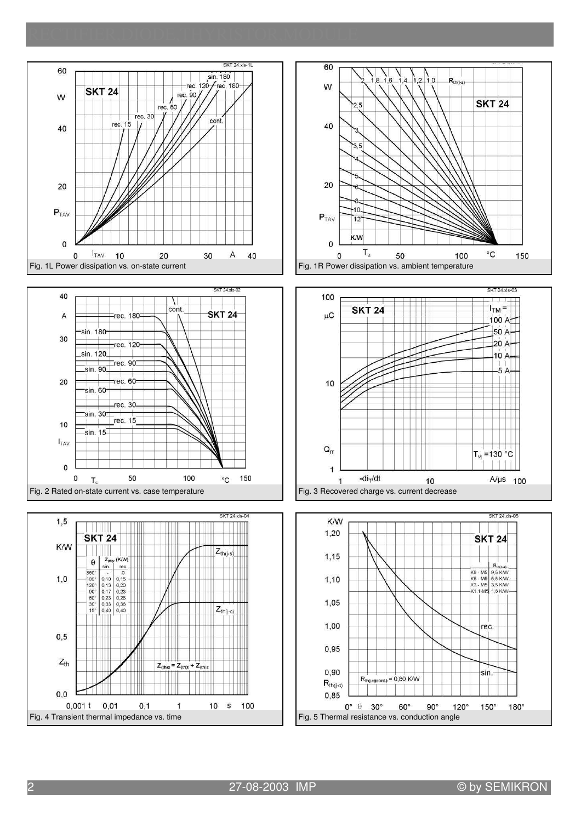







60

SKT 24 vis.11

sin. 180

rec. 120 / rec. 180





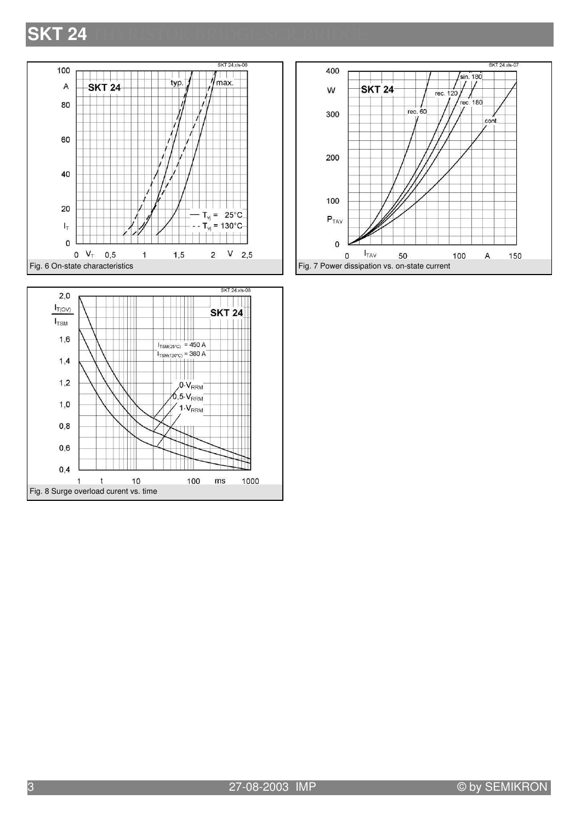# **SKT 24**





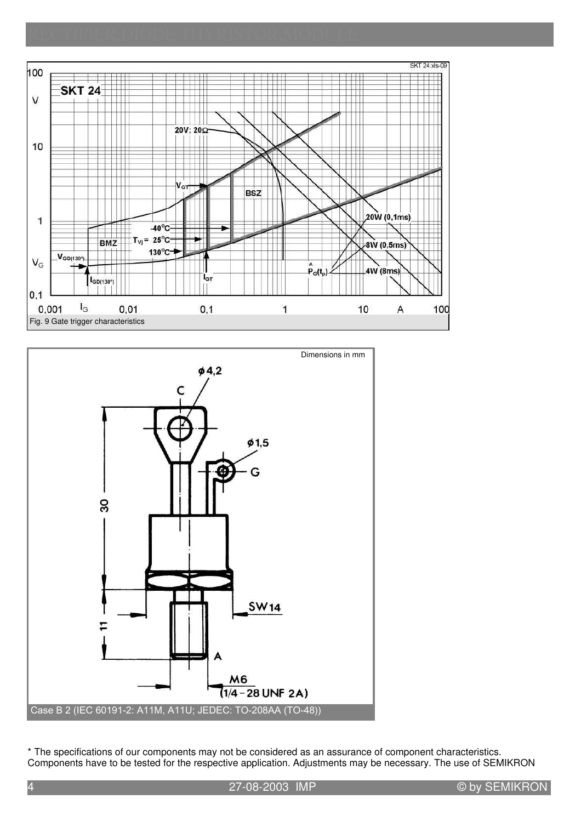



\* The specifications of our components may not be considered as an assurance of component characteristics. Components have to be tested for the respective application. Adjustments may be necessary. The use of SEMIKRON